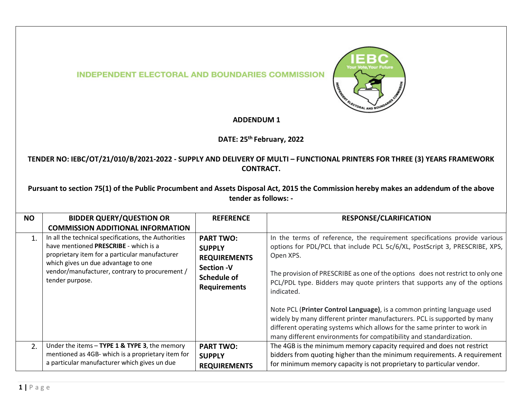**INDEPENDENT ELECTORAL AND BOUNDARIES COMMISSION** 



## **ADDENDUM 1**

**DATE: 25th February, 2022**

## **TENDER NO: IEBC/OT/21/010/B/2021-2022 - SUPPLY AND DELIVERY OF MULTI – FUNCTIONAL PRINTERS FOR THREE (3) YEARS FRAMEWORK CONTRACT.**

**Pursuant to section 75(1) of the Public Procumbent and Assets Disposal Act, 2015 the Commission hereby makes an addendum of the above tender as follows: -**

| <b>NO</b> | <b>BIDDER QUERY/QUESTION OR</b>                                                                                                                                                                                                                             | <b>REFERENCE</b>                                                                                             | <b>RESPONSE/CLARIFICATION</b>                                                                                                                                                                                                                                                                                                                                                                                                                                                                                                                                                                                                                               |
|-----------|-------------------------------------------------------------------------------------------------------------------------------------------------------------------------------------------------------------------------------------------------------------|--------------------------------------------------------------------------------------------------------------|-------------------------------------------------------------------------------------------------------------------------------------------------------------------------------------------------------------------------------------------------------------------------------------------------------------------------------------------------------------------------------------------------------------------------------------------------------------------------------------------------------------------------------------------------------------------------------------------------------------------------------------------------------------|
|           | <b>COMMISSION ADDITIONAL INFORMATION</b>                                                                                                                                                                                                                    |                                                                                                              |                                                                                                                                                                                                                                                                                                                                                                                                                                                                                                                                                                                                                                                             |
| 1.        | In all the technical specifications, the Authorities<br>have mentioned PRESCRIBE - which is a<br>proprietary item for a particular manufacturer<br>which gives un due advantage to one<br>vendor/manufacturer, contrary to procurement /<br>tender purpose. | <b>PART TWO:</b><br><b>SUPPLY</b><br><b>REQUIREMENTS</b><br>Section -V<br>Schedule of<br><b>Requirements</b> | In the terms of reference, the requirement specifications provide various<br>options for PDL/PCL that include PCL 5c/6/XL, PostScript 3, PRESCRIBE, XPS,<br>Open XPS.<br>The provision of PRESCRIBE as one of the options does not restrict to only one<br>PCL/PDL type. Bidders may quote printers that supports any of the options<br>indicated.<br>Note PCL (Printer Control Language), is a common printing language used<br>widely by many different printer manufacturers. PCL is supported by many<br>different operating systems which allows for the same printer to work in<br>many different environments for compatibility and standardization. |
| 2.        | Under the items - TYPE 1 & TYPE 3, the memory<br>mentioned as 4GB- which is a proprietary item for                                                                                                                                                          | <b>PART TWO:</b><br><b>SUPPLY</b>                                                                            | The 4GB is the minimum memory capacity required and does not restrict<br>bidders from quoting higher than the minimum requirements. A requirement                                                                                                                                                                                                                                                                                                                                                                                                                                                                                                           |
|           | a particular manufacturer which gives un due                                                                                                                                                                                                                | <b>REQUIREMENTS</b>                                                                                          | for minimum memory capacity is not proprietary to particular vendor.                                                                                                                                                                                                                                                                                                                                                                                                                                                                                                                                                                                        |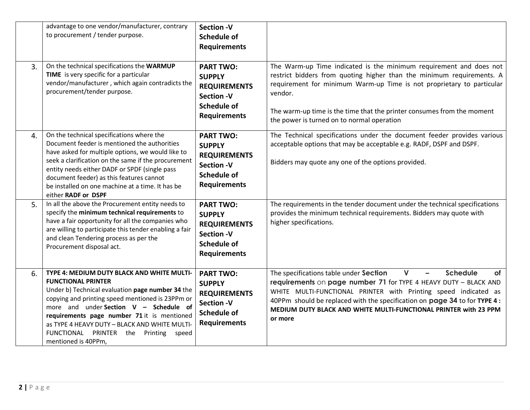|    | advantage to one vendor/manufacturer, contrary<br>to procurement / tender purpose.                                                                                                                                                                                                                                                                                                           | Section -V<br><b>Schedule of</b><br><b>Requirements</b>                                                                    |                                                                                                                                                                                                                                                                                                                                                                                                                        |
|----|----------------------------------------------------------------------------------------------------------------------------------------------------------------------------------------------------------------------------------------------------------------------------------------------------------------------------------------------------------------------------------------------|----------------------------------------------------------------------------------------------------------------------------|------------------------------------------------------------------------------------------------------------------------------------------------------------------------------------------------------------------------------------------------------------------------------------------------------------------------------------------------------------------------------------------------------------------------|
| 3. | On the technical specifications the WARMUP<br>TIME is very specific for a particular<br>vendor/manufacturer, which again contradicts the<br>procurement/tender purpose.                                                                                                                                                                                                                      | <b>PART TWO:</b><br><b>SUPPLY</b><br><b>REQUIREMENTS</b><br>Section -V<br><b>Schedule of</b><br><b>Requirements</b>        | The Warm-up Time indicated is the minimum requirement and does not<br>restrict bidders from quoting higher than the minimum requirements. A<br>requirement for minimum Warm-up Time is not proprietary to particular<br>vendor.<br>The warm-up time is the time that the printer consumes from the moment<br>the power is turned on to normal operation                                                                |
| 4. | On the technical specifications where the<br>Document feeder is mentioned the authorities<br>have asked for multiple options, we would like to<br>seek a clarification on the same if the procurement<br>entity needs either DADF or SPDF (single pass<br>document feeder) as this features cannot<br>be installed on one machine at a time. It has be<br>either RADF or DSPF                | <b>PART TWO:</b><br><b>SUPPLY</b><br><b>REQUIREMENTS</b><br><b>Section -V</b><br><b>Schedule of</b><br><b>Requirements</b> | The Technical specifications under the document feeder provides various<br>acceptable options that may be acceptable e.g. RADF, DSPF and DSPF.<br>Bidders may quote any one of the options provided.                                                                                                                                                                                                                   |
| 5. | In all the above the Procurement entity needs to<br>specify the minimum technical requirements to<br>have a fair opportunity for all the companies who<br>are willing to participate this tender enabling a fair<br>and clean Tendering process as per the<br>Procurement disposal act.                                                                                                      | <b>PART TWO:</b><br><b>SUPPLY</b><br><b>REQUIREMENTS</b><br><b>Section -V</b><br><b>Schedule of</b><br><b>Requirements</b> | The requirements in the tender document under the technical specifications<br>provides the minimum technical requirements. Bidders may quote with<br>higher specifications.                                                                                                                                                                                                                                            |
| 6. | TYPE 4: MEDIUM DUTY BLACK AND WHITE MULTI-<br><b>FUNCTIONAL PRINTER</b><br>Under b) Technical evaluation page number 34 the<br>copying and printing speed mentioned is 23PPm or<br>more and under Section V - Schedule of<br>requirements page number 71 it is mentioned<br>as TYPE 4 HEAVY DUTY - BLACK AND WHITE MULTI-<br>FUNCTIONAL PRINTER the Printing<br>speed<br>mentioned is 40PPm, | <b>PART TWO:</b><br><b>SUPPLY</b><br><b>REQUIREMENTS</b><br>Section -V<br><b>Schedule of</b><br><b>Requirements</b>        | The specifications table under Section<br>$\mathsf{V}$<br><b>Schedule</b><br><b>of</b><br>$\overline{\phantom{a}}$<br>requirements on page number 71 for TYPE 4 HEAVY DUTY - BLACK AND<br>WHITE MULTI-FUNCTIONAL PRINTER with Printing speed indicated as<br>40PPm should be replaced with the specification on page 34 to for TYPE 4 :<br>MEDIUM DUTY BLACK AND WHITE MULTI-FUNCTIONAL PRINTER with 23 PPM<br>or more |